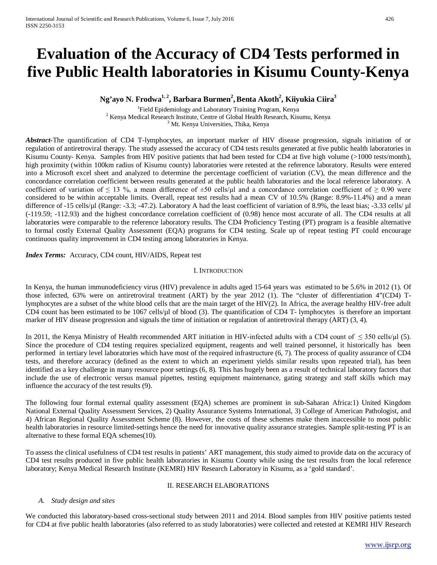# **Evaluation of the Accuracy of CD4 Tests performed in five Public Health laboratories in Kisumu County-Kenya**

## **Ng'ayo N. Frodwa1, 2, Barbara Burmen2 ,Benta Akoth2 , Kiiyukia Ciira3**

<sup>1</sup>Field Epidemiology and Laboratory Training Program, Kenya <sup>2</sup> Kenya Medical Research Institute, Centre of Global Health Research, Kisumu, Kenya  $3^{3}$  Mt. Kenya Universities, Thika, Kenya

*Abstract-*The quantification of CD4 T-lymphocytes, an important marker of HIV disease progression, signals initiation of or regulation of antiretroviral therapy. The study assessed the accuracy of CD4 tests results generated at five public health laboratories in Kisumu County- Kenya.Samples from HIV positive patients that had been tested for CD4 at five high volume (>1000 tests/month), high proximity (within 100km radius of Kisumu county) laboratories were retested at the reference laboratory. Results were entered into a Microsoft excel sheet and analyzed to determine the percentage coefficient of variation (CV), the mean difference and the concordance correlation coefficient between results generated at the public health laboratories and the local reference laboratory. A coefficient of variation of  $\leq 13$  %, a mean difference of  $\pm 50$  cells/ $\mu$ l and a concordance correlation coefficient of  $\geq 0.90$  were considered to be within acceptable limits. Overall, repeat test results had a mean CV of 10.5% (Range: 8.9%-11.4%) and a mean difference of -15 cells/µl (Range: -3.3; -47.2). Laboratory A had the least coefficient of variation of 8.9%, the least bias; -3.33 cells/ µl (-119.59; -112.93) and the highest concordance correlation coefficient of (0.98) hence most accurate of all. The CD4 results at all laboratories were comparable to the reference laboratory results. The CD4 Proficiency Testing (PT) program is a feasible alternative to formal costly External Quality Assessment (EQA) programs for CD4 testing. Scale up of repeat testing PT could encourage continuous quality improvement in CD4 testing among laboratories in Kenya.

*Index Terms:* Accuracy, CD4 count, HIV/AIDS, Repeat test

#### I. INTRODUCTION

In Kenya, the human immunodeficiency virus (HIV) prevalence in adults aged 15-64 years was estimated to be 5.6% in 2012 (1). Of those infected, 63% were on antiretroviral treatment (ART) by the year 2012 (1). The "cluster of differentiation 4"(CD4) Tlymphocytes are a subset of the white blood cells that are the main target of the HIV(2). In Africa, the average healthy HIV-free adult CD4 count has been estimated to be 1067 cells/µl of blood (3). The quantification of CD4 T- lymphocytes is therefore an important marker of HIV disease progression and signals the time of initiation or regulation of antiretroviral therapy (ART) (3, 4).

In 2011, the Kenya Ministry of Health recommended ART initiation in HIV-infected adults with a CD4 count of  $\leq$  350 cells/ $\mu$ l (5). Since the procedure of CD4 testing requires specialized equipment, reagents and well trained personnel, it historically has been performed in tertiary level laboratories which have most of the required infrastructure (6, 7). The process of quality assurance of CD4 tests, and therefore accuracy (defined as the extent to which an experiment yields similar results upon repeated trial), has been identified as a key challenge in many resource poor settings (6, 8). This has hugely been as a result of technical laboratory factors that include the use of electronic versus manual pipettes, testing equipment maintenance, gating strategy and staff skills which may influence the accuracy of the test results (9).

The following four formal external quality assessment (EQA) schemes are prominent in sub-Saharan Africa:1) United Kingdom National External Quality Assessment Services, 2) Quality Assurance Systems International, 3) College of American Pathologist, and 4) African Regional Quality Assessment Scheme (8). However, the costs of these schemes make them inaccessible to most public health laboratories in resource limited-settings hence the need for innovative quality assurance strategies. Sample split-testing PT is an alternative to these formal EQA schemes(10).

To assess the clinical usefulness of CD4 test results in patients' ART management, this study aimed to provide data on the accuracy of CD4 test results produced in five public health laboratories in Kisumu County while using the test results from the local reference laboratory; Kenya Medical Research Institute (KEMRI) HIV Research Laboratory in Kisumu, as a 'gold standard'.

#### II. RESEARCH ELABORATIONS

#### *A. Study design and sites*

We conducted this laboratory-based cross-sectional study between 2011 and 2014. Blood samples from HIV positive patients tested for CD4 at five public health laboratories (also referred to as study laboratories) were collected and retested at KEMRI HIV Research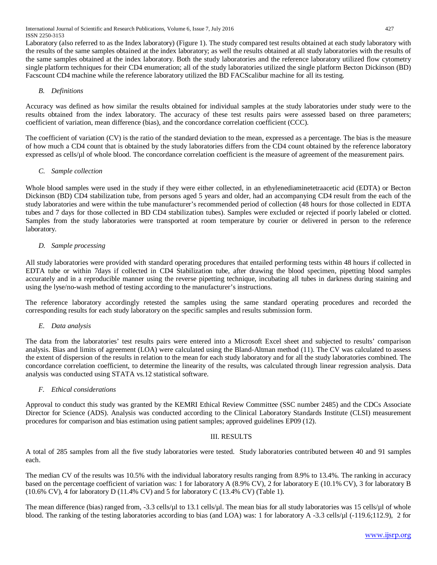Laboratory (also referred to as the Index laboratory) (Figure 1). The study compared test results obtained at each study laboratory with the results of the same samples obtained at the index laboratory; as well the results obtained at all study laboratories with the results of the same samples obtained at the index laboratory. Both the study laboratories and the reference laboratory utilized flow cytometry single platform techniques for their CD4 enumeration; all of the study laboratories utilized the single platform Becton Dickinson (BD) Facscount CD4 machine while the reference laboratory utilized the BD FACScalibur machine for all its testing.

### *B. Definitions*

Accuracy was defined as how similar the results obtained for individual samples at the study laboratories under study were to the results obtained from the index laboratory. The accuracy of these test results pairs were assessed based on three parameters; coefficient of variation, mean difference (bias), and the concordance correlation coefficient (CCC).

The coefficient of variation (CV) is the ratio of the standard deviation to the mean, expressed as a percentage. The bias is the measure of how much a CD4 count that is obtained by the study laboratories differs from the CD4 count obtained by the reference laboratory expressed as cells/ $\mu$ l of whole blood. The concordance correlation coefficient is the measure of agreement of the measurement pairs.

#### *C. Sample collection*

Whole blood samples were used in the study if they were either collected, in an ethylenediaminetetraacetic acid (EDTA) or Becton Dickinson (BD) CD4 stabilization tube, from persons aged 5 years and older, had an accompanying CD4 result from the each of the study laboratories and were within the tube manufacturer's recommended period of collection (48 hours for those collected in EDTA tubes and 7 days for those collected in BD CD4 stabilization tubes). Samples were excluded or rejected if poorly labeled or clotted. Samples from the study laboratories were transported at room temperature by courier or delivered in person to the reference laboratory.

### *D. Sample processing*

All study laboratories were provided with standard operating procedures that entailed performing tests within 48 hours if collected in EDTA tube or within 7days if collected in CD4 Stabilization tube, after drawing the blood specimen, pipetting blood samples accurately and in a reproducible manner using the reverse pipetting technique, incubating all tubes in darkness during staining and using the lyse/no-wash method of testing according to the manufacturer's instructions.

The reference laboratory accordingly retested the samples using the same standard operating procedures and recorded the corresponding results for each study laboratory on the specific samples and results submission form.

#### *E. Data analysis*

The data from the laboratories' test results pairs were entered into a Microsoft Excel sheet and subjected to results' comparison analysis. Bias and limits of agreement (LOA) were calculated using the Bland-Altman method (11). The CV was calculated to assess the extent of dispersion of the results in relation to the mean for each study laboratory and for all the study laboratories combined. The concordance correlation coefficient, to determine the linearity of the results, was calculated through linear regression analysis. Data analysis was conducted using STATA vs.12 statistical software.

#### *F. Ethical considerations*

Approval to conduct this study was granted by the KEMRI Ethical Review Committee (SSC number 2485) and the CDCs Associate Director for Science (ADS). Analysis was conducted according to the Clinical Laboratory Standards Institute (CLSI) measurement procedures for comparison and bias estimation using patient samples; approved guidelines EP09 (12).

#### III. RESULTS

A total of 285 samples from all the five study laboratories were tested. Study laboratories contributed between 40 and 91 samples each.

The median CV of the results was 10.5% with the individual laboratory results ranging from 8.9% to 13.4%. The ranking in accuracy based on the percentage coefficient of variation was: 1 for laboratory A (8.9% CV), 2 for laboratory E (10.1% CV), 3 for laboratory B (10.6% CV), 4 for laboratory D (11.4% CV) and 5 for laboratory C (13.4% CV) (Table 1).

The mean difference (bias) ranged from, -3.3 cells/µl to 13.1 cells/µl. The mean bias for all study laboratories was 15 cells/µl of whole blood. The ranking of the testing laboratories according to bias (and LOA) was: 1 for laboratory A -3.3 cells/µl (-119.6;112.9), 2 for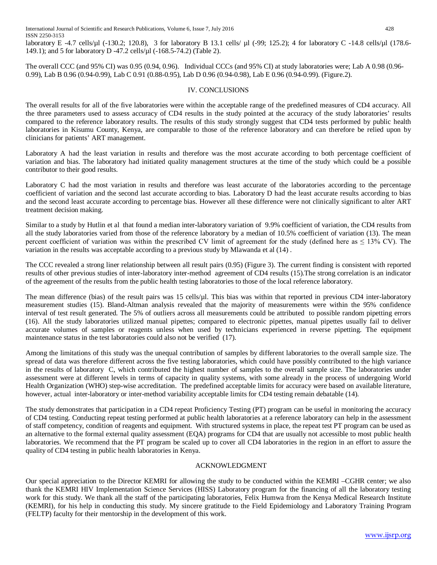laboratory E -4.7 cells/µl (-130.2; 120.8), 3 for laboratory B 13.1 cells/ µl (-99; 125.2); 4 for laboratory C -14.8 cells/µl (178.6- 149.1); and 5 for laboratory D -47.2 cells/µl (-168.5-74.2) (Table 2).

The overall CCC (and 95% CI) was 0.95 (0.94, 0.96). Individual CCCs (and 95% CI) at study laboratories were; Lab A 0.98 (0.96- 0.99), Lab B 0.96 (0.94-0.99), Lab C 0.91 (0.88-0.95), Lab D 0.96 (0.94-0.98), Lab E 0.96 (0.94-0.99). (Figure.2).

#### IV. CONCLUSIONS

The overall results for all of the five laboratories were within the acceptable range of the predefined measures of CD4 accuracy. All the three parameters used to assess accuracy of CD4 results in the study pointed at the accuracy of the study laboratories' results compared to the reference laboratory results. The results of this study strongly suggest that CD4 tests performed by public health laboratories in Kisumu County, Kenya, are comparable to those of the reference laboratory and can therefore be relied upon by clinicians for patients' ART management.

Laboratory A had the least variation in results and therefore was the most accurate according to both percentage coefficient of variation and bias. The laboratory had initiated quality management structures at the time of the study which could be a possible contributor to their good results.

Laboratory C had the most variation in results and therefore was least accurate of the laboratories according to the percentage coefficient of variation and the second last accurate according to bias. Laboratory D had the least accurate results according to bias and the second least accurate according to percentage bias. However all these difference were not clinically significant to alter ART treatment decision making.

Similar to a study by Hutlin et al that found a median inter-laboratory variation of 9.9% coefficient of variation, the CD4 results from all the study laboratories varied from those of the reference laboratory by a median of 10.5% coefficient of variation (13). The mean percent coefficient of variation was within the prescribed CV limit of agreement for the study (defined here as  $\leq 13\%$  CV). The variation in the results was acceptable according to a previous study by Mlawanda et al (14) .

The CCC revealed a strong liner relationship between all result pairs (0.95) (Figure 3). The current finding is consistent with reported results of other previous studies of inter-laboratory inter-method agreement of CD4 results (15).The strong correlation is an indicator of the agreement of the results from the public health testing laboratories to those of the local reference laboratory.

The mean difference (bias) of the result pairs was 15 cells/µl. This bias was within that reported in previous CD4 inter-laboratory measurement studies (15). Bland-Altman analysis revealed that the majority of measurements were within the 95% confidence interval of test result generated. The 5% of outliers across all measurements could be attributed to possible random pipetting errors (16). All the study laboratories utilized manual pipettes; compared to electronic pipettes, manual pipettes usually fail to deliver accurate volumes of samples or reagents unless when used by technicians experienced in reverse pipetting. The equipment maintenance status in the test laboratories could also not be verified (17).

Among the limitations of this study was the unequal contribution of samples by different laboratories to the overall sample size. The spread of data was therefore different across the five testing laboratories, which could have possibly contributed to the high variance in the results of laboratory C, which contributed the highest number of samples to the overall sample size. The laboratories under assessment were at different levels in terms of capacity in quality systems, with some already in the process of undergoing World Health Organization (WHO) step-wise accreditation. The predefined acceptable limits for accuracy were based on available literature, however, actual inter-laboratory or inter-method variability acceptable limits for CD4 testing remain debatable (14).

The study demonstrates that participation in a CD4 repeat Proficiency Testing (PT) program can be useful in monitoring the accuracy of CD4 testing. Conducting repeat testing performed at public health laboratories at a reference laboratory can help in the assessment of staff competency, condition of reagents and equipment. With structured systems in place, the repeat test PT program can be used as an alternative to the formal external quality assessment (EQA) programs for CD4 that are usually not accessible to most public health laboratories. We recommend that the PT program be scaled up to cover all CD4 laboratories in the region in an effort to assure the quality of CD4 testing in public health laboratories in Kenya.

#### ACKNOWLEDGMENT

Our special appreciation to the Director KEMRI for allowing the study to be conducted within the KEMRI –CGHR center; we also thank the KEMRI HIV Implementation Science Services (HISS) Laboratory program for the financing of all the laboratory testing work for this study. We thank all the staff of the participating laboratories, Felix Humwa from the Kenya Medical Research Institute (KEMRI), for his help in conducting this study. My sincere gratitude to the Field Epidemiology and Laboratory Training Program (FELTP) faculty for their mentorship in the development of this work.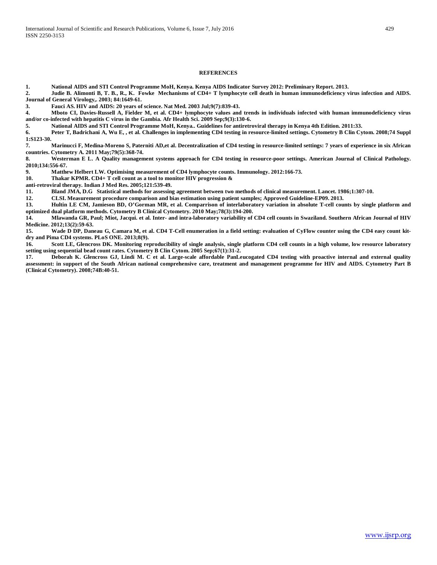#### **REFERENCES**

**1. National AIDS and STI Control Programme MoH, Kenya. Kenya AIDS Indicator Survey 2012: Preliminary Report. 2013.**

**2. Judie B. Alimonti B, T. B., R., K. Fowke Mechanisms of CD4+ T lymphocyte cell death in human immunodeficiency virus infection and AIDS. Journal of General Virology,. 2003; 84:1649-61.**

**3. Fauci AS. HIV and AIDS: 20 years of science. Nat Med. 2003 Jul;9(7):839-43.**

**4. Mboto CI, Davies-Russell A, Fielder M, et al. CD4+ lymphocyte values and trends in individuals infected with human immunodeficiency virus and/or co-infected with hepatitis C virus in the Gambia. Afr Health Sci. 2009 Sep;9(3):130-6.**

**5. National AIDS and STI Control Programme MoH, Kenya.. Guidelines for antiretroviral therapy in Kenya 4th Edition. 2011:33.**

**6. Peter T, Badrichani A, Wu E, , et al. Challenges in implementing CD4 testing in resource-limited settings. Cytometry B Clin Cytom. 2008;74 Suppl 1:S123-30.**

**7. Marinucci F, Medina-Moreno S, Paterniti AD,et al. Decentralization of CD4 testing in resource-limited settings: 7 years of experience in six African countries. Cytometry A. 2011 May;79(5):368-74.**

**8. Westerman E L. A Quality management systems approach for CD4 testing in resource-poor settings. American Journal of Clinical Pathology. 2010;134:556-67.**

**9. Matthew Helbert LW. Optimising measurement of CD4 lymphocyte counts. Immunology. 2012:166-73.**

**10. Thakar KPMR. CD4+ T cell count as a tool to monitor HIV progression &**

**anti-retroviral therapy. Indian J Med Res. 2005;121:539-49.**

**11. Bland JMA, D.G Statistical methods for assessing agreement between two methods of clinical measurement. Lancet. 1986;1:307-10.**

**12. CLSI. Measurement procedure comparison and bias estimation using patient samples; Approved Guideline-EP09. 2013.**

**13. Hultin LE CM, Jamieson BD, O'Gorman MR, et al. Comparrison of interlaboratory variation in absolute T-cell counts by single platform and optimized dual platform methods. Cytometry B Clinical Cytometry. 2010 May;78(3):194-200.**

**14. Mlawanda GR, Paul; Miot, Jacqui. et al. Inter- and intra-laboratory variability of CD4 cell counts in Swaziland. Southern African Journal of HIV Medicine. 2012;13(2):59-63.**

**15. Wade D DP, Daneau G, Camara M, et al. CD4 T-Cell enumeration in a field setting: evaluation of CyFlow counter using the CD4 easy count kitdry and Pima CD4 systems. PLoS ONE. 2013;8(9).**

**16. Scott LE, Glencross DK. Monitoring reproducibility of single analysis, single platform CD4 cell counts in a high volume, low resource laboratory setting using sequential bead count rates. Cytometry B Clin Cytom. 2005 Sep;67(1):31-2.**

**17. Deborah K. Glencross GJ, Lindi M. C et al. Large-scale affordable PanLeucogated CD4 testing with proactive internal and external quality assessment: in support of the South African national comprehensive care, treatment and management programme for HIV and AIDS. Cytometry Part B (Clinical Cytometry). 2008;74B:40-51.**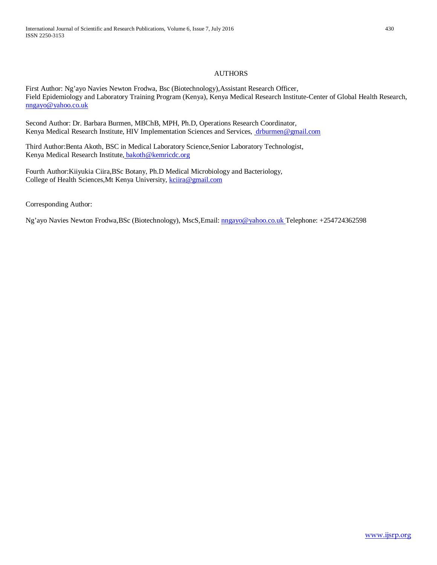#### AUTHORS

First Author: Ng'ayo Navies Newton Frodwa, Bsc (Biotechnology),Assistant Research Officer, Field Epidemiology and Laboratory Training Program (Kenya), Kenya Medical Research Institute-Center of Global Health Research, [nngayo@yahoo.co.uk](mailto:nngayo@yahoo.co.uk)

Second Author: Dr. Barbara Burmen, MBChB, MPH, Ph.D, Operations Research Coordinator, Kenya Medical Research Institute, HIV Implementation Sciences and Services, [drburmen@gmail.com](mailto:drburmen@gmail.com)

Third Author:Benta Akoth, BSC in Medical Laboratory Science,Senior Laboratory Technologist, Kenya Medical Research Institute, [bakoth@kemricdc.org](mailto:bakoth@kemricdc.org)

Fourth Author:Kiiyukia Ciira,BSc Botany, Ph.D Medical Microbiology and Bacteriology, College of Health Sciences, Mt Kenya University, [kciira@gmail.com](mailto:kciira@gmail.com)

Corresponding Author:

Ng'ayo Navies Newton Frodwa,BSc (Biotechnology), MscS,Email: [nngayo@yahoo.co.uk](mailto:nngayo@yahoo.co.uk) Telephone: +254724362598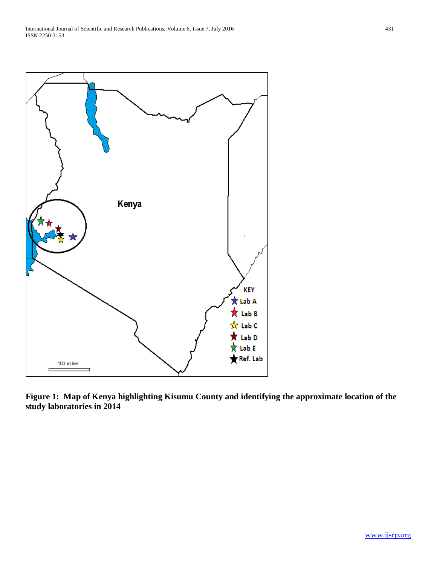

**Figure 1: Map of Kenya highlighting Kisumu County and identifying the approximate location of the study laboratories in 2014**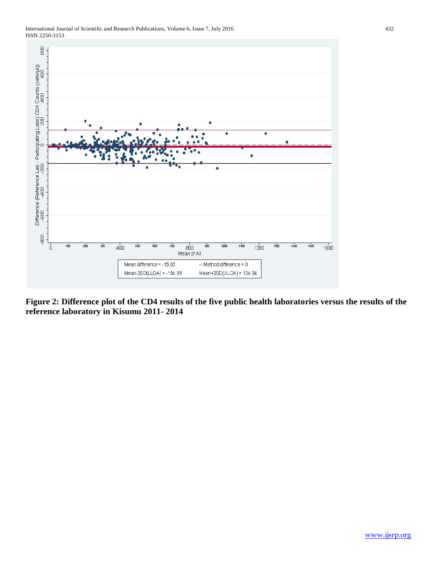



**Figure 2: Difference plot of the CD4 results of the five public health laboratories versus the results of the reference laboratory in Kisumu 2011- 2014**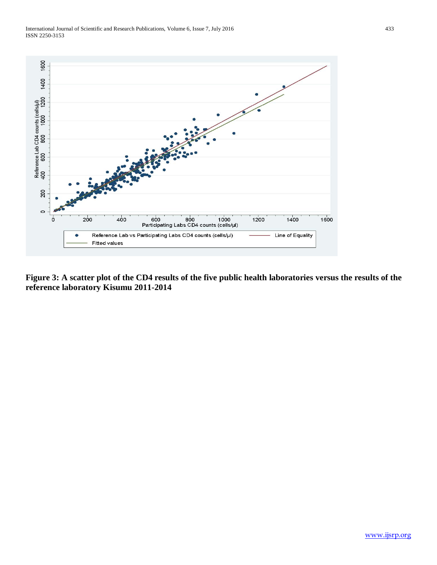International Journal of Scientific and Research Publications, Volume 6, Issue 7, July 2016 433 ISSN 2250-3153



**Figure 3: A scatter plot of the CD4 results of the five public health laboratories versus the results of the reference laboratory Kisumu 2011-2014**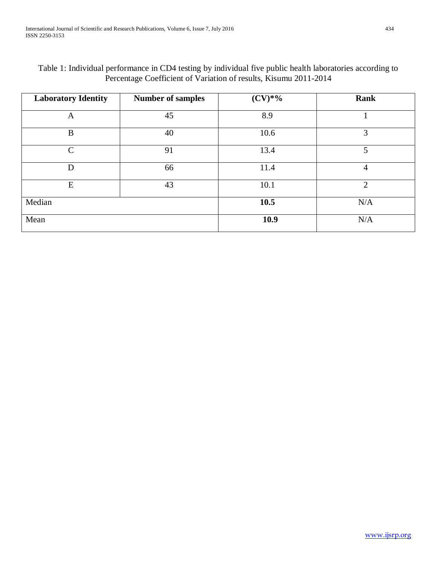| Table 1: Individual performance in CD4 testing by individual five public health laboratories according to |
|-----------------------------------------------------------------------------------------------------------|
| Percentage Coefficient of Variation of results, Kisumu 2011-2014                                          |

| <b>Laboratory Identity</b> | <b>Number of samples</b> | $(CV)*\%$ | Rank           |
|----------------------------|--------------------------|-----------|----------------|
| A                          | 45                       | 8.9       |                |
| B                          | 40                       | 10.6      | 3              |
| $\mathcal{C}$              | 91                       | 13.4      | 5              |
| D                          | 66                       | 11.4      | $\overline{4}$ |
| E                          | 43                       | 10.1      | $\overline{2}$ |
| Median                     |                          | 10.5      | N/A            |
| Mean                       |                          | 10.9      | N/A            |